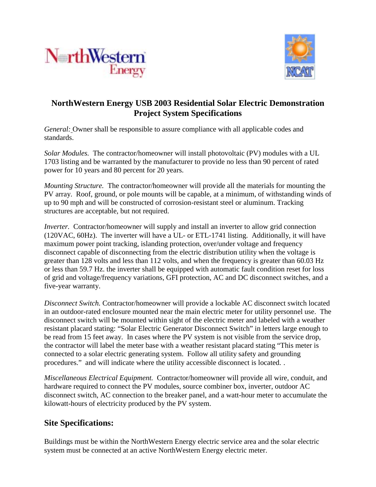



## **NorthWestern Energy USB 2003 Residential Solar Electric Demonstration Project System Specifications**

*General:* Owner shall be responsible to assure compliance with all applicable codes and standards.

*Solar Modules.* The contractor/homeowner will install photovoltaic (PV) modules with a UL 1703 listing and be warranted by the manufacturer to provide no less than 90 percent of rated power for 10 years and 80 percent for 20 years.

*Mounting Structure.*The contractor/homeowner will provide all the materials for mounting the PV array. Roof, ground, or pole mounts will be capable, at a minimum, of withstanding winds of up to 90 mph and will be constructed of corrosion-resistant steel or aluminum. Tracking structures are acceptable, but not required.

*Inverter.* Contractor/homeowner will supply and install an inverter to allow grid connection (120VAC, 60Hz). The inverter will have a UL- or ETL-1741 listing. Additionally, it will have maximum power point tracking, islanding protection, over/under voltage and frequency disconnect capable of disconnecting from the electric distribution utility when the voltage is greater than 128 volts and less than 112 volts, and when the frequency is greater than 60.03 Hz or less than 59.7 Hz. the inverter shall be equipped with automatic fault condition reset for loss of grid and voltage/frequency variations, GFI protection, AC and DC disconnect switches, and a five-year warranty.

*Disconnect Switch.* Contractor/homeowner will provide a lockable AC disconnect switch located in an outdoor-rated enclosure mounted near the main electric meter for utility personnel use. The disconnect switch will be mounted within sight of the electric meter and labeled with a weather resistant placard stating: "Solar Electric Generator Disconnect Switch" in letters large enough to be read from 15 feet away. In cases where the PV system is not visible from the service drop, the contractor will label the meter base with a weather resistant placard stating "This meter is connected to a solar electric generating system. Follow all utility safety and grounding procedures." and will indicate where the utility accessible disconnect is located. .

*Miscellaneous Electrical Equipment.* Contractor/homeowner will provide all wire, conduit, and hardware required to connect the PV modules, source combiner box, inverter, outdoor AC disconnect switch, AC connection to the breaker panel, and a watt-hour meter to accumulate the kilowatt-hours of electricity produced by the PV system.

## **Site Specifications:**

Buildings must be within the NorthWestern Energy electric service area and the solar electric system must be connected at an active NorthWestern Energy electric meter.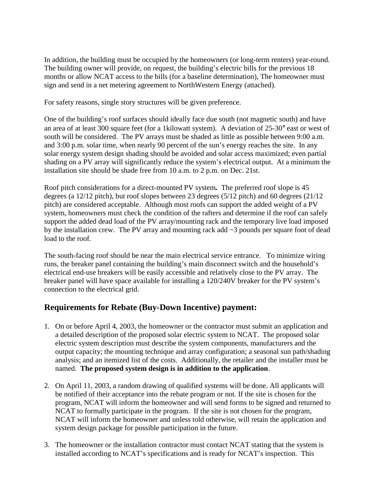In addition, the building must be occupied by the homeowners (or long-term renters) year-round. The building owner will provide, on request, the building's electric bills for the previous 18 months or allow NCAT access to the bills (for a baseline determination), The homeowner must sign and send in a net metering agreement to NorthWestern Energy (attached).

For safety reasons, single story structures will be given preference.

One of the building's roof surfaces should ideally face due south (not magnetic south) and have an area of at least 300 square feet (for a 1kilowatt system). A deviation of 25-30° east or west of south will be considered. The PV arrays must be shaded as little as possible between 9:00 a.m. and 3:00 p.m. solar time, when nearly 90 percent of the sun's energy reaches the site. In any solar energy system design shading should be avoided and solar access maximized; even partial shading on a PV array will significantly reduce the system's electrical output. At a minimum the installation site should be shade free from 10 a.m. to 2 p.m. on Dec. 21st.

Roof pitch considerations for a direct-mounted PV system*.* The preferred roof slope is 45 degrees (a 12/12 pitch), but roof slopes between 23 degrees (5/12 pitch) and 60 degrees (21/12 pitch) are considered acceptable. Although most roofs can support the added weight of a PV system, homeowners must check the condition of the rafters and determine if the roof can safely support the added dead load of the PV array/mounting rack and the temporary live load imposed by the installation crew. The PV array and mounting rack add ~3 pounds per square foot of dead load to the roof.

The south-facing roof should be near the main electrical service entrance. To minimize wiring runs, the breaker panel containing the building's main disconnect switch and the household's electrical end-use breakers will be easily accessible and relatively close to the PV array. The breaker panel will have space available for installing a 120/240V breaker for the PV system's connection to the electrical grid.

## **Requirements for Rebate (Buy-Down Incentive) payment:**

- 1. On or before April 4, 2003, the homeowner or the contractor must submit an application and a detailed description of the proposed solar electric system to NCAT. The proposed solar electric system description must describe the system components, manufacturers and the output capacity; the mounting technique and array configuration; a seasonal sun path/shading analysis; and an itemized list of the costs. Additionally, the retailer and the installer must be named. **The proposed system design is in addition to the application**.
- 2. On April 11, 2003, a random drawing of qualified systems will be done. All applicants will be notified of their acceptance into the rebate program or not. If the site is chosen for the program, NCAT will inform the homeowner and will send forms to be signed and returned to NCAT to formally participate in the program. If the site is not chosen for the program, NCAT will inform the homeowner and unless told otherwise, will retain the application and system design package for possible participation in the future.
- 3. The homeowner or the installation contractor must contact NCAT stating that the system is installed according to NCAT's specifications and is ready for NCAT's inspection. This